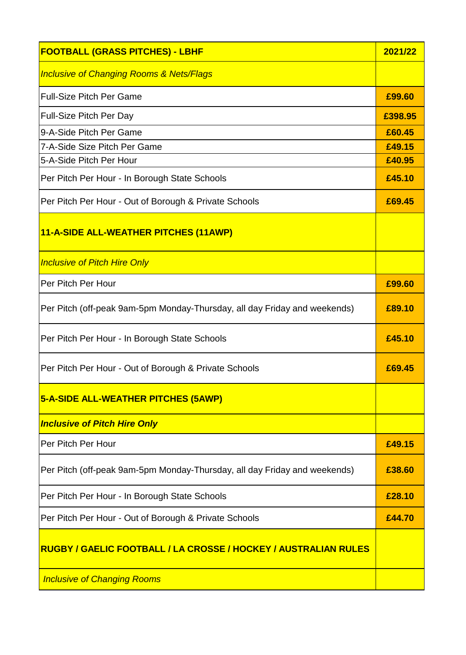| <b>FOOTBALL (GRASS PITCHES) - LBHF</b>                                    | 2021/22 |
|---------------------------------------------------------------------------|---------|
| <b>Inclusive of Changing Rooms &amp; Nets/Flags</b>                       |         |
| <b>Full-Size Pitch Per Game</b>                                           | £99.60  |
| <b>Full-Size Pitch Per Day</b>                                            | £398.95 |
| 9-A-Side Pitch Per Game                                                   | £60.45  |
| 7-A-Side Size Pitch Per Game                                              | £49.15  |
| 5-A-Side Pitch Per Hour                                                   | £40.95  |
| Per Pitch Per Hour - In Borough State Schools                             | £45.10  |
| Per Pitch Per Hour - Out of Borough & Private Schools                     | £69.45  |
| 11-A-SIDE ALL-WEATHER PITCHES (11AWP)                                     |         |
| <b>Inclusive of Pitch Hire Only</b>                                       |         |
| Per Pitch Per Hour                                                        | £99.60  |
| Per Pitch (off-peak 9am-5pm Monday-Thursday, all day Friday and weekends) | £89.10  |
| Per Pitch Per Hour - In Borough State Schools                             | £45.10  |
| Per Pitch Per Hour - Out of Borough & Private Schools                     | £69.45  |
| <b>5-A-SIDE ALL-WEATHER PITCHES (5AWP)</b>                                |         |
| <b>Inclusive of Pitch Hire Only</b>                                       |         |
| Per Pitch Per Hour                                                        | £49.15  |
| Per Pitch (off-peak 9am-5pm Monday-Thursday, all day Friday and weekends) | £38.60  |
| Per Pitch Per Hour - In Borough State Schools                             | £28.10  |
| Per Pitch Per Hour - Out of Borough & Private Schools                     | £44.70  |
| RUGBY / GAELIC FOOTBALL / LA CROSSE / HOCKEY / AUSTRALIAN RULES           |         |
| <b>Inclusive of Changing Rooms</b>                                        |         |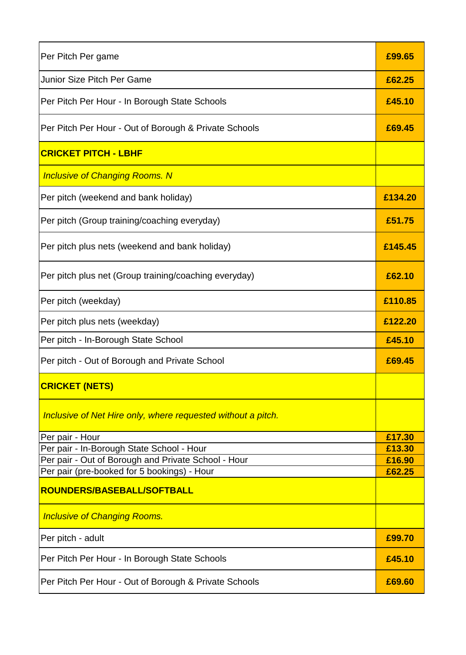| Per Pitch Per game                                                                                 | £99.65           |
|----------------------------------------------------------------------------------------------------|------------------|
| Junior Size Pitch Per Game                                                                         | £62.25           |
| Per Pitch Per Hour - In Borough State Schools                                                      | £45.10           |
| Per Pitch Per Hour - Out of Borough & Private Schools                                              | £69.45           |
| <b>CRICKET PITCH - LBHF</b>                                                                        |                  |
| <b>Inclusive of Changing Rooms. N</b>                                                              |                  |
| Per pitch (weekend and bank holiday)                                                               | £134.20          |
| Per pitch (Group training/coaching everyday)                                                       | £51.75           |
| Per pitch plus nets (weekend and bank holiday)                                                     | £145.45          |
| Per pitch plus net (Group training/coaching everyday)                                              | £62.10           |
| Per pitch (weekday)                                                                                | £110.85          |
| Per pitch plus nets (weekday)                                                                      | £122.20          |
| Per pitch - In-Borough State School                                                                | £45.10           |
| Per pitch - Out of Borough and Private School                                                      | £69.45           |
| <b>CRICKET (NETS)</b>                                                                              |                  |
| Inclusive of Net Hire only, where requested without a pitch.                                       |                  |
| Per pair - Hour                                                                                    | £17.30           |
| Per pair - In-Borough State School - Hour                                                          | £13.30           |
| Per pair - Out of Borough and Private School - Hour<br>Per pair (pre-booked for 5 bookings) - Hour | £16.90<br>£62.25 |
| ROUNDERS/BASEBALL/SOFTBALL                                                                         |                  |
| <b>Inclusive of Changing Rooms.</b>                                                                |                  |
| Per pitch - adult                                                                                  | £99.70           |
| Per Pitch Per Hour - In Borough State Schools                                                      | £45.10           |
| Per Pitch Per Hour - Out of Borough & Private Schools                                              | £69.60           |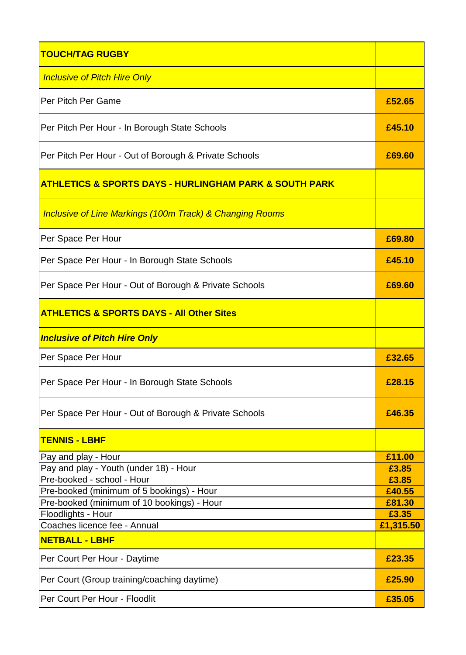| <b>TOUCH/TAG RUGBY</b>                                                                  |                  |
|-----------------------------------------------------------------------------------------|------------------|
| <b>Inclusive of Pitch Hire Only</b>                                                     |                  |
| Per Pitch Per Game                                                                      | £52.65           |
| Per Pitch Per Hour - In Borough State Schools                                           | £45.10           |
| Per Pitch Per Hour - Out of Borough & Private Schools                                   | £69.60           |
| <u>ATHLETICS &amp; SPORTS DAYS - HURLINGHAM PARK &amp; SOUTH PARK</u>                   |                  |
| <b>Inclusive of Line Markings (100m Track) &amp; Changing Rooms</b>                     |                  |
| Per Space Per Hour                                                                      | £69.80           |
| Per Space Per Hour - In Borough State Schools                                           | £45.10           |
| Per Space Per Hour - Out of Borough & Private Schools                                   | £69.60           |
| <b>ATHLETICS &amp; SPORTS DAYS - All Other Sites</b>                                    |                  |
| <b>Inclusive of Pitch Hire Only</b>                                                     |                  |
| Per Space Per Hour                                                                      | £32.65           |
| Per Space Per Hour - In Borough State Schools                                           | £28.15           |
| Per Space Per Hour - Out of Borough & Private Schools                                   | £46.35           |
| <b>TENNIS - LBHF</b>                                                                    |                  |
| Pay and play - Hour                                                                     | £11.00           |
| Pay and play - Youth (under 18) - Hour                                                  | £3.85            |
| Pre-booked - school - Hour                                                              | £3.85            |
| Pre-booked (minimum of 5 bookings) - Hour<br>Pre-booked (minimum of 10 bookings) - Hour | £40.55<br>£81.30 |
| Floodlights - Hour                                                                      | £3.35            |
| Coaches licence fee - Annual                                                            | £1,315.50        |
| <b>NETBALL - LBHF</b>                                                                   |                  |
| Per Court Per Hour - Daytime                                                            | £23.35           |
| Per Court (Group training/coaching daytime)                                             | £25.90           |
| Per Court Per Hour - Floodlit                                                           | £35.05           |